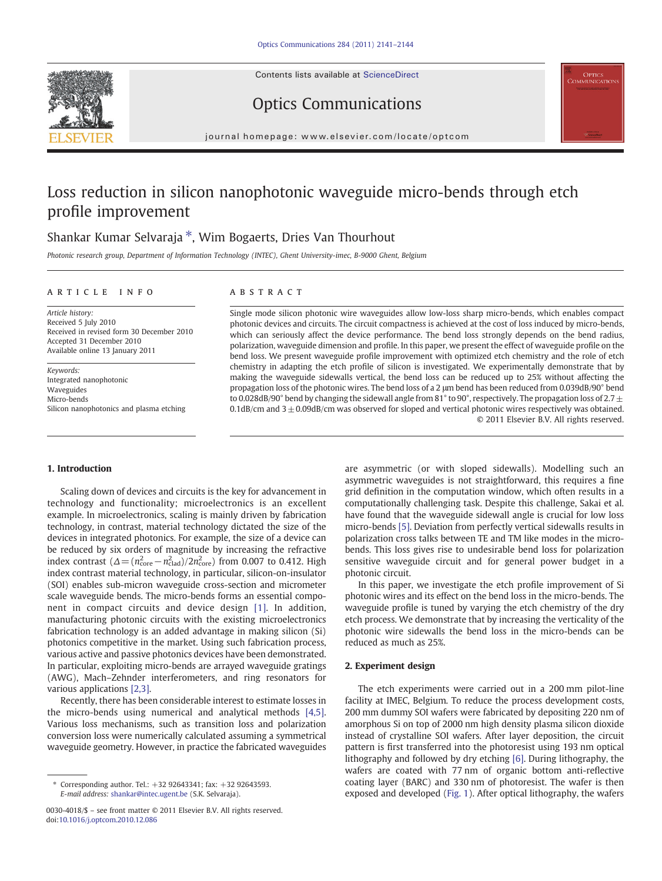Contents lists available at ScienceDirect



Optics Communications



journal homepage: www.elsevier.com/locate/optcom

# Loss reduction in silicon nanophotonic waveguide micro-bends through etch profile improvement

## Shankar Kumar Selvaraja ⁎, Wim Bogaerts, Dries Van Thourhout

Photonic research group, Department of Information Technology (INTEC), Ghent University-imec, B-9000 Ghent, Belgium

#### article info abstract

Article history: Received 5 July 2010 Received in revised form 30 December 2010 Accepted 31 December 2010 Available online 13 January 2011

Keywords: Integrated nanophotonic Waveguides Micro-bends Silicon nanophotonics and plasma etching

#### 1. Introduction

Scaling down of devices and circuits is the key for advancement in technology and functionality; microelectronics is an excellent example. In microelectronics, scaling is mainly driven by fabrication technology, in contrast, material technology dictated the size of the devices in integrated photonics. For example, the size of a device can be reduced by six orders of magnitude by increasing the refractive index contrast  $(\Delta = (n_{\text{core}}^2 - n_{\text{clad}}^2)/2n_{\text{core}}^2)$  from 0.007 to 0.412. High index contrast material technology, in particular, silicon-on-insulator (SOI) enables sub-micron waveguide cross-section and micrometer scale waveguide bends. The micro-bends forms an essential component in compact circuits and device design [\[1\].](#page-3-0) In addition, manufacturing photonic circuits with the existing microelectronics fabrication technology is an added advantage in making silicon (Si) photonics competitive in the market. Using such fabrication process, various active and passive photonics devices have been demonstrated. In particular, exploiting micro-bends are arrayed waveguide gratings (AWG), Mach–Zehnder interferometers, and ring resonators for various applications [\[2,3\]](#page-3-0).

Recently, there has been considerable interest to estimate losses in the micro-bends using numerical and analytical methods [\[4,5\].](#page-3-0) Various loss mechanisms, such as transition loss and polarization conversion loss were numerically calculated assuming a symmetrical waveguide geometry. However, in practice the fabricated waveguides

Single mode silicon photonic wire waveguides allow low-loss sharp micro-bends, which enables compact photonic devices and circuits. The circuit compactness is achieved at the cost of loss induced by micro-bends, which can seriously affect the device performance. The bend loss strongly depends on the bend radius, polarization, waveguide dimension and profile. In this paper, we present the effect of waveguide profile on the bend loss. We present waveguide profile improvement with optimized etch chemistry and the role of etch chemistry in adapting the etch profile of silicon is investigated. We experimentally demonstrate that by making the waveguide sidewalls vertical, the bend loss can be reduced up to 25% without affecting the propagation loss of the photonic wires. The bend loss of a 2 μm bend has been reduced from 0.039dB/90° bend to 0.028dB/90° bend by changing the sidewall angle from 81° to 90°, respectively. The propagation loss of 2.7  $\pm$ 0.1dB/cm and  $3 \pm 0.09$ dB/cm was observed for sloped and vertical photonic wires respectively was obtained. © 2011 Elsevier B.V. All rights reserved.

> are asymmetric (or with sloped sidewalls). Modelling such an asymmetric waveguides is not straightforward, this requires a fine grid definition in the computation window, which often results in a computationally challenging task. Despite this challenge, Sakai et al. have found that the waveguide sidewall angle is crucial for low loss micro-bends [\[5\].](#page-3-0) Deviation from perfectly vertical sidewalls results in polarization cross talks between TE and TM like modes in the microbends. This loss gives rise to undesirable bend loss for polarization sensitive waveguide circuit and for general power budget in a photonic circuit.

> In this paper, we investigate the etch profile improvement of Si photonic wires and its effect on the bend loss in the micro-bends. The waveguide profile is tuned by varying the etch chemistry of the dry etch process. We demonstrate that by increasing the verticality of the photonic wire sidewalls the bend loss in the micro-bends can be reduced as much as 25%.

#### 2. Experiment design

The etch experiments were carried out in a 200 mm pilot-line facility at IMEC, Belgium. To reduce the process development costs, 200 mm dummy SOI wafers were fabricated by depositing 220 nm of amorphous Si on top of 2000 nm high density plasma silicon dioxide instead of crystalline SOI wafers. After layer deposition, the circuit pattern is first transferred into the photoresist using 193 nm optical lithography and followed by dry etching [\[6\]](#page-3-0). During lithography, the wafers are coated with 77 nm of organic bottom anti-reflective coating layer (BARC) and 330 nm of photoresist. The wafer is then exposed and developed [\(Fig. 1\)](#page-1-0). After optical lithography, the wafers

Corresponding author. Tel.: +32 92643341; fax: +32 92643593. E-mail address: [shankar@intec.ugent.be](mailto:shankar@intec.ugent.be) (S.K. Selvaraja).

<sup>0030-4018/\$</sup> – see front matter © 2011 Elsevier B.V. All rights reserved. doi[:10.1016/j.optcom.2010.12.086](http://dx.doi.org/10.1016/j.optcom.2010.12.086)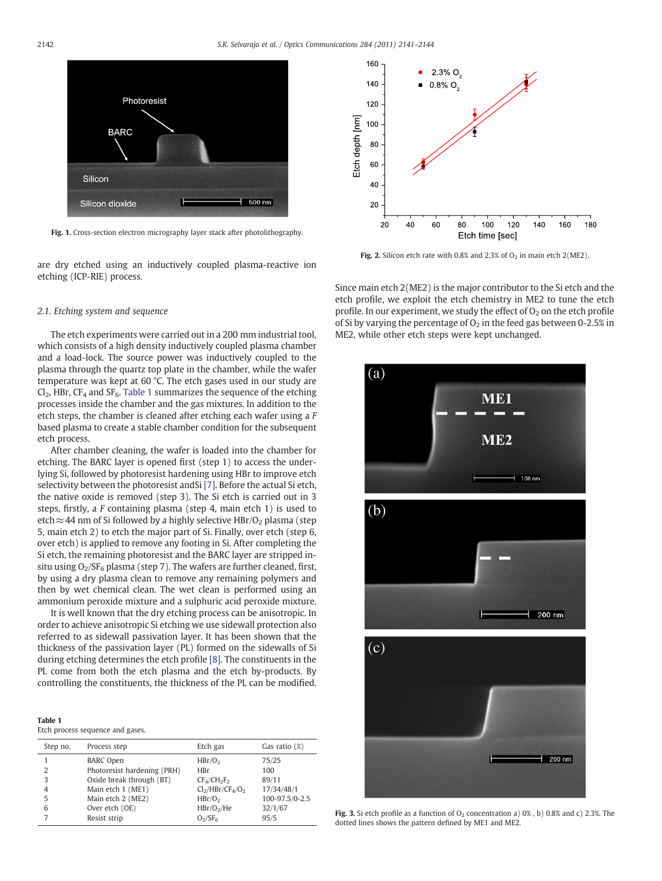160

 $140$ 

<span id="page-1-0"></span>

Fig. 1. Cross-section electron micrography layer stack after photolithography.

are dry etched using an inductively coupled plasma-reactive ion etching (ICP-RIE) process.



 $2.3\%$  O

 $0.8\%$  O

Fig. 2. Silicon etch rate with 0.8% and 2.3% of  $O<sub>2</sub>$  in main etch 2(ME2).

2.1. Etching system and sequence

The etch experiments were carried out in a 200 mm industrial tool, which consists of a high density inductively coupled plasma chamber and a load-lock. The source power was inductively coupled to the plasma through the quartz top plate in the chamber, while the wafer temperature was kept at 60 °C. The etch gases used in our study are  $Cl_2$ , HBr, CF<sub>4</sub> and SF<sub>6</sub>. Table 1 summarizes the sequence of the etching processes inside the chamber and the gas mixtures. In addition to the etch steps, the chamber is cleaned after etching each wafer using a F based plasma to create a stable chamber condition for the subsequent etch process.

After chamber cleaning, the wafer is loaded into the chamber for etching. The BARC layer is opened first (step 1) to access the underlying Si, followed by photoresist hardening using HBr to improve etch selectivity between the photoresist andSi [\[7\].](#page-3-0) Before the actual Si etch, the native oxide is removed (step 3). The Si etch is carried out in 3 steps, firstly, a F containing plasma (step 4, main etch 1) is used to etch≈44 nm of Si followed by a highly selective HBr/O<sub>2</sub> plasma (step 5, main etch 2) to etch the major part of Si. Finally, over etch (step 6, over etch) is applied to remove any footing in Si. After completing the Si etch, the remaining photoresist and the BARC layer are stripped insitu using  $O_2/SF_6$  plasma (step 7). The wafers are further cleaned, first, by using a dry plasma clean to remove any remaining polymers and then by wet chemical clean. The wet clean is performed using an ammonium peroxide mixture and a sulphuric acid peroxide mixture.

It is well known that the dry etching process can be anisotropic. In order to achieve anisotropic Si etching we use sidewall protection also referred to as sidewall passivation layer. It has been shown that the thickness of the passivation layer (PL) formed on the sidewalls of Si during etching determines the etch profile [\[8\].](#page-3-0) The constituents in the PL come from both the etch plasma and the etch by-products. By controlling the constituents, the thickness of the PL can be modified.

|--|--|

|  | Etch process sequence and gases. |  |
|--|----------------------------------|--|
|  |                                  |  |

| Step no. | Process step                | Etch gas                        | Gas ratio $(\%)$ |
|----------|-----------------------------|---------------------------------|------------------|
|          | <b>BARC Open</b>            | HBr/O <sub>2</sub>              | 75/25            |
| 2        | Photoresist hardening (PRH) | <b>HBr</b>                      | 100              |
| 3        | Oxide break through (BT)    | $CF4/CH2F2$                     | 89/11            |
| 4        | Main etch 1 (ME1)           | $Cl2/HBr/CF4/O2$                | 17/34/48/1       |
| 5        | Main etch 2 (ME2)           | HBr/O <sub>2</sub>              | 100-97.5/0-2.5   |
| 6        | Over etch (OE)              | HBr/O <sub>2</sub> /He          | 32/1/67          |
| 7        | Resist strip                | O <sub>2</sub> /SF <sub>6</sub> | 95/5             |

Since main etch 2(ME2) is the major contributor to the Si etch and the etch profile, we exploit the etch chemistry in ME2 to tune the etch profile. In our experiment, we study the effect of  $O<sub>2</sub>$  on the etch profile of Si by varying the percentage of  $O<sub>2</sub>$  in the feed gas between 0-2.5% in ME2, while other etch steps were kept unchanged.



Fig. 3. Si etch profile as a function of  $O_2$  concentration a) 0%, b) 0.8% and c) 2.3%. The dotted lines shows the pattern defined by ME1 and ME2.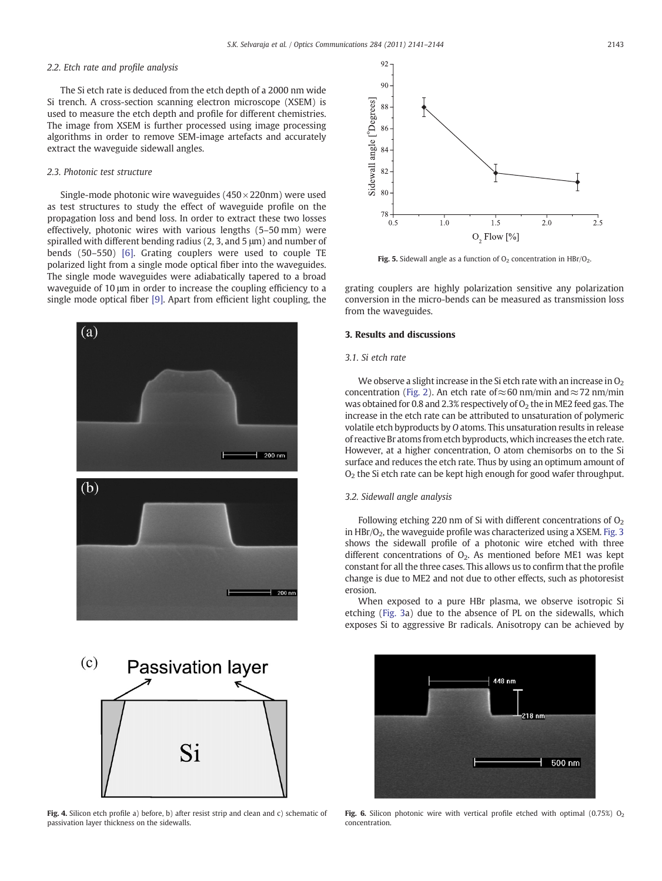### <span id="page-2-0"></span>2.2. Etch rate and profile analysis

The Si etch rate is deduced from the etch depth of a 2000 nm wide Si trench. A cross-section scanning electron microscope (XSEM) is used to measure the etch depth and profile for different chemistries. The image from XSEM is further processed using image processing algorithms in order to remove SEM-image artefacts and accurately extract the waveguide sidewall angles.

#### 2.3. Photonic test structure

Single-mode photonic wire waveguides  $(450 \times 220$ nm) were used as test structures to study the effect of waveguide profile on the propagation loss and bend loss. In order to extract these two losses effectively, photonic wires with various lengths (5–50 mm) were spiralled with different bending radius (2, 3, and 5 μm) and number of bends (50–550) [\[6\]](#page-3-0). Grating couplers were used to couple TE polarized light from a single mode optical fiber into the waveguides. The single mode waveguides were adiabatically tapered to a broad waveguide of 10 μm in order to increase the coupling efficiency to a single mode optical fiber [\[9\].](#page-3-0) Apart from efficient light coupling, the





Fig. 4. Silicon etch profile a) before, b) after resist strip and clean and c) schematic of passivation layer thickness on the sidewalls.



Fig. 5. Sidewall angle as a function of  $O_2$  concentration in HBr/ $O_2$ .

grating couplers are highly polarization sensitive any polarization conversion in the micro-bends can be measured as transmission loss from the waveguides.

#### 3. Results and discussions

#### 3.1. Si etch rate

We observe a slight increase in the Si etch rate with an increase in  $O<sub>2</sub>$ concentration ([Fig. 2](#page-1-0)). An etch rate of  $\approx$  60 nm/min and  $\approx$  72 nm/min was obtained for 0.8 and 2.3% respectively of  $O<sub>2</sub>$  the in ME2 feed gas. The increase in the etch rate can be attributed to unsaturation of polymeric volatile etch byproducts by O atoms. This unsaturation results in release of reactive Br atoms from etch byproducts, which increases the etch rate. However, at a higher concentration, O atom chemisorbs on to the Si surface and reduces the etch rate. Thus by using an optimum amount of  $O<sub>2</sub>$  the Si etch rate can be kept high enough for good wafer throughput.

#### 3.2. Sidewall angle analysis

Following etching 220 nm of Si with different concentrations of  $O<sub>2</sub>$ in  $HBr/O<sub>2</sub>$ , the waveguide profile was characterized using a XSEM. [Fig. 3](#page-1-0) shows the sidewall profile of a photonic wire etched with three different concentrations of  $O<sub>2</sub>$ . As mentioned before ME1 was kept constant for all the three cases. This allows us to confirm that the profile change is due to ME2 and not due to other effects, such as photoresist erosion.

When exposed to a pure HBr plasma, we observe isotropic Si etching [\(Fig. 3a](#page-1-0)) due to the absence of PL on the sidewalls, which exposes Si to aggressive Br radicals. Anisotropy can be achieved by



Fig. 6. Silicon photonic wire with vertical profile etched with optimal (0.75%)  $O<sub>2</sub>$ concentration.